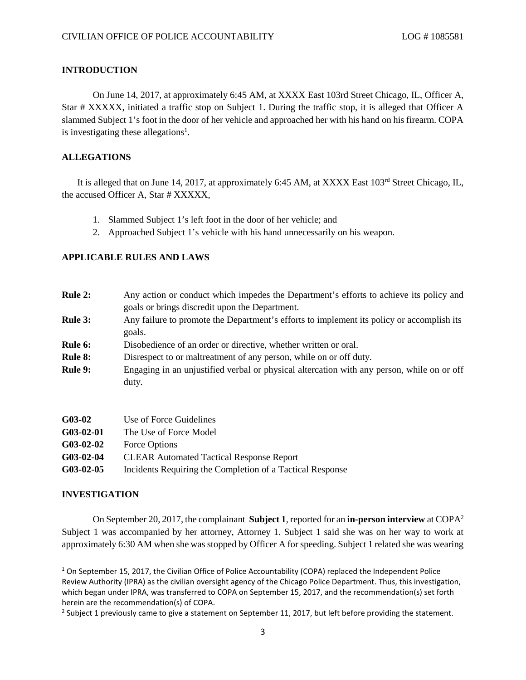### **INTRODUCTION**

On June 14, 2017, at approximately 6:45 AM, at XXXX East 103rd Street Chicago, IL, Officer A, Star # XXXXX, initiated a traffic stop on Subject 1. During the traffic stop, it is alleged that Officer A slammed Subject 1's foot in the door of her vehicle and approached her with his hand on his firearm. COPA is investigating these allegations<sup>[1](#page-0-0)</sup>.

## **ALLEGATIONS**

It is alleged that on June 14, 2017, at approximately 6:45 AM, at XXXX East  $103<sup>rd</sup>$  Street Chicago, IL, the accused Officer A, Star # XXXXX,

- 1. Slammed Subject 1's left foot in the door of her vehicle; and
- 2. Approached Subject 1's vehicle with his hand unnecessarily on his weapon.

## **APPLICABLE RULES AND LAWS**

| <b>Rule 2:</b> | Any action or conduct which impedes the Department's efforts to achieve its policy and<br>goals or brings discredit upon the Department. |
|----------------|------------------------------------------------------------------------------------------------------------------------------------------|
| <b>Rule 3:</b> | Any failure to promote the Department's efforts to implement its policy or accomplish its<br>goals.                                      |
| Rule 6:        | Disobedience of an order or directive, whether written or oral.                                                                          |
| <b>Rule 8:</b> | Disrespect to or maltreatment of any person, while on or off duty.                                                                       |
| <b>Rule 9:</b> | Engaging in an unjustified verbal or physical altercation with any person, while on or off<br>duty.                                      |
| $G$ 03-02      | Use of Force Guidelines                                                                                                                  |
| CA2 A2 A1      | The Use of Ecase Medel                                                                                                                   |

| WWW-92-91    | THE USE OF FORCE MOUEL                                    |
|--------------|-----------------------------------------------------------|
| $G$ 03-02-02 | Force Options                                             |
| $G$ 03-02-04 | <b>CLEAR Automated Tactical Response Report</b>           |
| $G$ 03-02-05 | Incidents Requiring the Completion of a Tactical Response |

### **INVESTIGATION**

On September 20, 2017, the complainant **Subject 1**, reported for an **in-person interview** at COPA[2](#page-0-1) Subject 1 was accompanied by her attorney, Attorney 1. Subject 1 said she was on her way to work at approximately 6:30 AM when she was stopped by Officer A for speeding. Subject 1 related she was wearing

<span id="page-0-0"></span> $1$  On September 15, 2017, the Civilian Office of Police Accountability (COPA) replaced the Independent Police Review Authority (IPRA) as the civilian oversight agency of the Chicago Police Department. Thus, this investigation, which began under IPRA, was transferred to COPA on September 15, 2017, and the recommendation(s) set forth herein are the recommendation(s) of COPA.

<span id="page-0-1"></span><sup>&</sup>lt;sup>2</sup> Subject 1 previously came to give a statement on September 11, 2017, but left before providing the statement.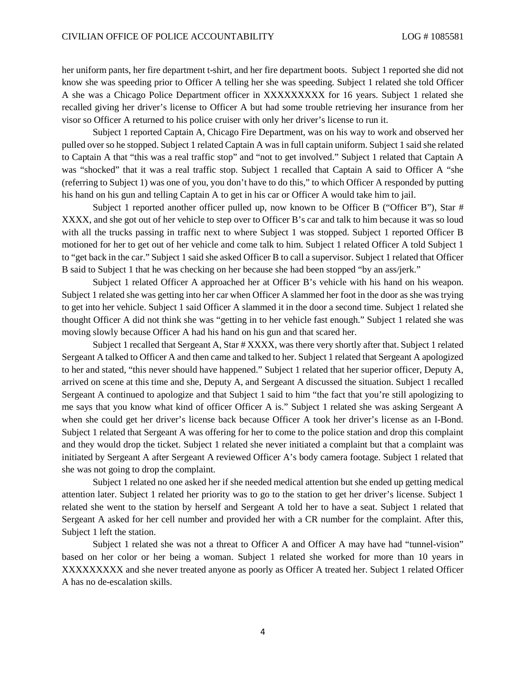her uniform pants, her fire department t-shirt, and her fire department boots. Subject 1 reported she did not know she was speeding prior to Officer A telling her she was speeding. Subject 1 related she told Officer A she was a Chicago Police Department officer in XXXXXXXXX for 16 years. Subject 1 related she recalled giving her driver's license to Officer A but had some trouble retrieving her insurance from her visor so Officer A returned to his police cruiser with only her driver's license to run it.

Subject 1 reported Captain A, Chicago Fire Department, was on his way to work and observed her pulled over so he stopped. Subject 1 related Captain A was in full captain uniform. Subject 1 said she related to Captain A that "this was a real traffic stop" and "not to get involved." Subject 1 related that Captain A was "shocked" that it was a real traffic stop. Subject 1 recalled that Captain A said to Officer A "she (referring to Subject 1) was one of you, you don't have to do this," to which Officer A responded by putting his hand on his gun and telling Captain A to get in his car or Officer A would take him to jail.

Subject 1 reported another officer pulled up, now known to be Officer B ("Officer B"), Star # XXXX, and she got out of her vehicle to step over to Officer B's car and talk to him because it was so loud with all the trucks passing in traffic next to where Subject 1 was stopped. Subject 1 reported Officer B motioned for her to get out of her vehicle and come talk to him. Subject 1 related Officer A told Subject 1 to "get back in the car." Subject 1 said she asked Officer B to call a supervisor. Subject 1 related that Officer B said to Subject 1 that he was checking on her because she had been stopped "by an ass/jerk."

Subject 1 related Officer A approached her at Officer B's vehicle with his hand on his weapon. Subject 1 related she was getting into her car when Officer A slammed her foot in the door as she was trying to get into her vehicle. Subject 1 said Officer A slammed it in the door a second time. Subject 1 related she thought Officer A did not think she was "getting in to her vehicle fast enough." Subject 1 related she was moving slowly because Officer A had his hand on his gun and that scared her.

Subject 1 recalled that Sergeant A, Star # XXXX, was there very shortly after that. Subject 1 related Sergeant A talked to Officer A and then came and talked to her. Subject 1 related that Sergeant A apologized to her and stated, "this never should have happened." Subject 1 related that her superior officer, Deputy A, arrived on scene at this time and she, Deputy A, and Sergeant A discussed the situation. Subject 1 recalled Sergeant A continued to apologize and that Subject 1 said to him "the fact that you're still apologizing to me says that you know what kind of officer Officer A is." Subject 1 related she was asking Sergeant A when she could get her driver's license back because Officer A took her driver's license as an I-Bond. Subject 1 related that Sergeant A was offering for her to come to the police station and drop this complaint and they would drop the ticket. Subject 1 related she never initiated a complaint but that a complaint was initiated by Sergeant A after Sergeant A reviewed Officer A's body camera footage. Subject 1 related that she was not going to drop the complaint.

Subject 1 related no one asked her if she needed medical attention but she ended up getting medical attention later. Subject 1 related her priority was to go to the station to get her driver's license. Subject 1 related she went to the station by herself and Sergeant A told her to have a seat. Subject 1 related that Sergeant A asked for her cell number and provided her with a CR number for the complaint. After this, Subject 1 left the station.

Subject 1 related she was not a threat to Officer A and Officer A may have had "tunnel-vision" based on her color or her being a woman. Subject 1 related she worked for more than 10 years in XXXXXXXXX and she never treated anyone as poorly as Officer A treated her. Subject 1 related Officer A has no de-escalation skills.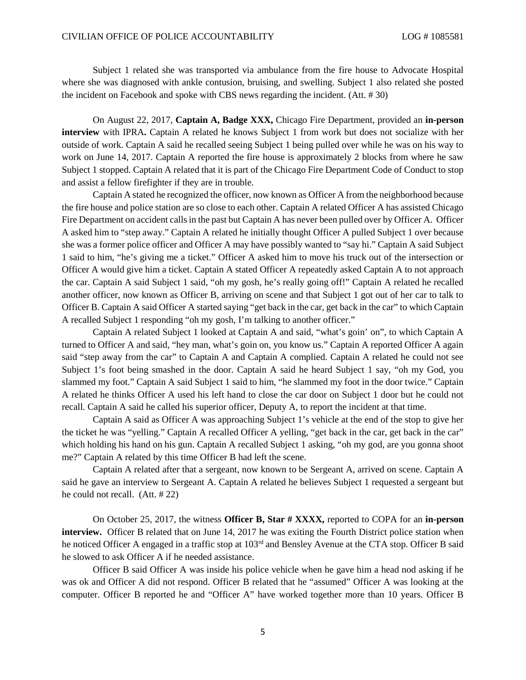Subject 1 related she was transported via ambulance from the fire house to Advocate Hospital where she was diagnosed with ankle contusion, bruising, and swelling. Subject 1 also related she posted the incident on Facebook and spoke with CBS news regarding the incident. (Att. # 30)

On August 22, 2017, **Captain A, Badge XXX,** Chicago Fire Department, provided an **in-person interview** with IPRA**.** Captain A related he knows Subject 1 from work but does not socialize with her outside of work. Captain A said he recalled seeing Subject 1 being pulled over while he was on his way to work on June 14, 2017. Captain A reported the fire house is approximately 2 blocks from where he saw Subject 1 stopped. Captain A related that it is part of the Chicago Fire Department Code of Conduct to stop and assist a fellow firefighter if they are in trouble.

Captain A stated he recognized the officer, now known as Officer A from the neighborhood because the fire house and police station are so close to each other. Captain A related Officer A has assisted Chicago Fire Department on accident calls in the past but Captain A has never been pulled over by Officer A. Officer A asked him to "step away." Captain A related he initially thought Officer A pulled Subject 1 over because she was a former police officer and Officer A may have possibly wanted to "say hi." Captain A said Subject 1 said to him, "he's giving me a ticket." Officer A asked him to move his truck out of the intersection or Officer A would give him a ticket. Captain A stated Officer A repeatedly asked Captain A to not approach the car. Captain A said Subject 1 said, "oh my gosh, he's really going off!" Captain A related he recalled another officer, now known as Officer B, arriving on scene and that Subject 1 got out of her car to talk to Officer B. Captain A said Officer A started saying "get back in the car, get back in the car" to which Captain A recalled Subject 1 responding "oh my gosh, I'm talking to another officer."

Captain A related Subject 1 looked at Captain A and said, "what's goin' on", to which Captain A turned to Officer A and said, "hey man, what's goin on, you know us." Captain A reported Officer A again said "step away from the car" to Captain A and Captain A complied. Captain A related he could not see Subject 1's foot being smashed in the door. Captain A said he heard Subject 1 say, "oh my God, you slammed my foot." Captain A said Subject 1 said to him, "he slammed my foot in the door twice." Captain A related he thinks Officer A used his left hand to close the car door on Subject 1 door but he could not recall. Captain A said he called his superior officer, Deputy A, to report the incident at that time.

Captain A said as Officer A was approaching Subject 1's vehicle at the end of the stop to give her the ticket he was "yelling." Captain A recalled Officer A yelling, "get back in the car, get back in the car" which holding his hand on his gun. Captain A recalled Subject 1 asking, "oh my god, are you gonna shoot me?" Captain A related by this time Officer B had left the scene.

Captain A related after that a sergeant, now known to be Sergeant A, arrived on scene. Captain A said he gave an interview to Sergeant A. Captain A related he believes Subject 1 requested a sergeant but he could not recall. (Att. # 22)

On October 25, 2017, the witness **Officer B, Star # XXXX,** reported to COPA for an **in-person interview.** Officer B related that on June 14, 2017 he was exiting the Fourth District police station when he noticed Officer A engaged in a traffic stop at 103<sup>rd</sup> and Bensley Avenue at the CTA stop. Officer B said he slowed to ask Officer A if he needed assistance.

Officer B said Officer A was inside his police vehicle when he gave him a head nod asking if he was ok and Officer A did not respond. Officer B related that he "assumed" Officer A was looking at the computer. Officer B reported he and "Officer A" have worked together more than 10 years. Officer B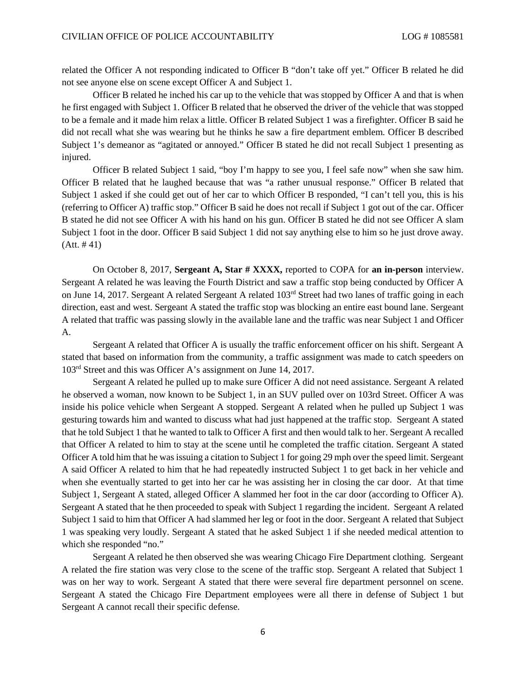related the Officer A not responding indicated to Officer B "don't take off yet." Officer B related he did not see anyone else on scene except Officer A and Subject 1.

Officer B related he inched his car up to the vehicle that was stopped by Officer A and that is when he first engaged with Subject 1. Officer B related that he observed the driver of the vehicle that was stopped to be a female and it made him relax a little. Officer B related Subject 1 was a firefighter. Officer B said he did not recall what she was wearing but he thinks he saw a fire department emblem. Officer B described Subject 1's demeanor as "agitated or annoyed." Officer B stated he did not recall Subject 1 presenting as injured.

Officer B related Subject 1 said, "boy I'm happy to see you, I feel safe now" when she saw him. Officer B related that he laughed because that was "a rather unusual response." Officer B related that Subject 1 asked if she could get out of her car to which Officer B responded, "I can't tell you, this is his (referring to Officer A) traffic stop." Officer B said he does not recall if Subject 1 got out of the car. Officer B stated he did not see Officer A with his hand on his gun. Officer B stated he did not see Officer A slam Subject 1 foot in the door. Officer B said Subject 1 did not say anything else to him so he just drove away.  $(Att. #41)$ 

On October 8, 2017, **Sergeant A, Star # XXXX,** reported to COPA for **an in-person** interview. Sergeant A related he was leaving the Fourth District and saw a traffic stop being conducted by Officer A on June 14, 2017. Sergeant A related Sergeant A related 103rd Street had two lanes of traffic going in each direction, east and west. Sergeant A stated the traffic stop was blocking an entire east bound lane. Sergeant A related that traffic was passing slowly in the available lane and the traffic was near Subject 1 and Officer A.

Sergeant A related that Officer A is usually the traffic enforcement officer on his shift. Sergeant A stated that based on information from the community, a traffic assignment was made to catch speeders on 103rd Street and this was Officer A's assignment on June 14, 2017.

Sergeant A related he pulled up to make sure Officer A did not need assistance. Sergeant A related he observed a woman, now known to be Subject 1, in an SUV pulled over on 103rd Street. Officer A was inside his police vehicle when Sergeant A stopped. Sergeant A related when he pulled up Subject 1 was gesturing towards him and wanted to discuss what had just happened at the traffic stop. Sergeant A stated that he told Subject 1 that he wanted to talk to Officer A first and then would talk to her. Sergeant A recalled that Officer A related to him to stay at the scene until he completed the traffic citation. Sergeant A stated Officer A told him that he was issuing a citation to Subject 1 for going 29 mph over the speed limit. Sergeant A said Officer A related to him that he had repeatedly instructed Subject 1 to get back in her vehicle and when she eventually started to get into her car he was assisting her in closing the car door. At that time Subject 1, Sergeant A stated, alleged Officer A slammed her foot in the car door (according to Officer A). Sergeant A stated that he then proceeded to speak with Subject 1 regarding the incident. Sergeant A related Subject 1 said to him that Officer A had slammed her leg or foot in the door. Sergeant A related that Subject 1 was speaking very loudly. Sergeant A stated that he asked Subject 1 if she needed medical attention to which she responded "no."

Sergeant A related he then observed she was wearing Chicago Fire Department clothing. Sergeant A related the fire station was very close to the scene of the traffic stop. Sergeant A related that Subject 1 was on her way to work. Sergeant A stated that there were several fire department personnel on scene. Sergeant A stated the Chicago Fire Department employees were all there in defense of Subject 1 but Sergeant A cannot recall their specific defense.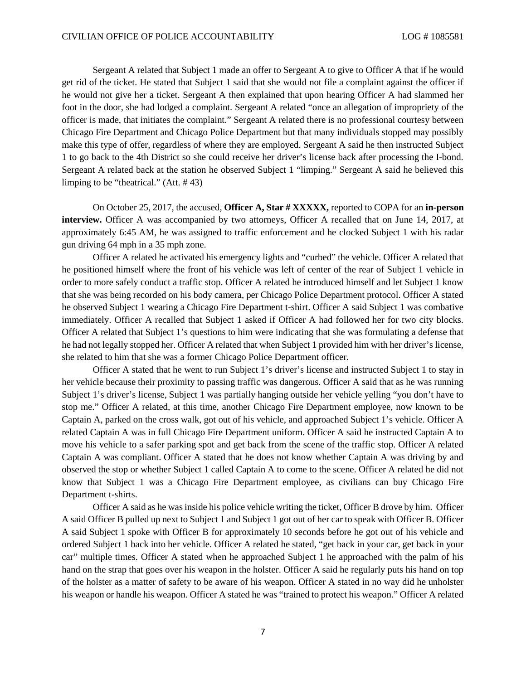Sergeant A related that Subject 1 made an offer to Sergeant A to give to Officer A that if he would get rid of the ticket. He stated that Subject 1 said that she would not file a complaint against the officer if he would not give her a ticket. Sergeant A then explained that upon hearing Officer A had slammed her foot in the door, she had lodged a complaint. Sergeant A related "once an allegation of impropriety of the officer is made, that initiates the complaint." Sergeant A related there is no professional courtesy between Chicago Fire Department and Chicago Police Department but that many individuals stopped may possibly make this type of offer, regardless of where they are employed. Sergeant A said he then instructed Subject 1 to go back to the 4th District so she could receive her driver's license back after processing the I-bond. Sergeant A related back at the station he observed Subject 1 "limping." Sergeant A said he believed this limping to be "theatrical." (Att. # 43)

On October 25, 2017, the accused, **Officer A, Star # XXXXX,** reported to COPA for an **in-person interview.** Officer A was accompanied by two attorneys, Officer A recalled that on June 14, 2017, at approximately 6:45 AM, he was assigned to traffic enforcement and he clocked Subject 1 with his radar gun driving 64 mph in a 35 mph zone.

Officer A related he activated his emergency lights and "curbed" the vehicle. Officer A related that he positioned himself where the front of his vehicle was left of center of the rear of Subject 1 vehicle in order to more safely conduct a traffic stop. Officer A related he introduced himself and let Subject 1 know that she was being recorded on his body camera, per Chicago Police Department protocol. Officer A stated he observed Subject 1 wearing a Chicago Fire Department t-shirt. Officer A said Subject 1 was combative immediately. Officer A recalled that Subject 1 asked if Officer A had followed her for two city blocks. Officer A related that Subject 1's questions to him were indicating that she was formulating a defense that he had not legally stopped her. Officer A related that when Subject 1 provided him with her driver's license, she related to him that she was a former Chicago Police Department officer.

Officer A stated that he went to run Subject 1's driver's license and instructed Subject 1 to stay in her vehicle because their proximity to passing traffic was dangerous. Officer A said that as he was running Subject 1's driver's license, Subject 1 was partially hanging outside her vehicle yelling "you don't have to stop me." Officer A related, at this time, another Chicago Fire Department employee, now known to be Captain A, parked on the cross walk, got out of his vehicle, and approached Subject 1's vehicle. Officer A related Captain A was in full Chicago Fire Department uniform. Officer A said he instructed Captain A to move his vehicle to a safer parking spot and get back from the scene of the traffic stop. Officer A related Captain A was compliant. Officer A stated that he does not know whether Captain A was driving by and observed the stop or whether Subject 1 called Captain A to come to the scene. Officer A related he did not know that Subject 1 was a Chicago Fire Department employee, as civilians can buy Chicago Fire Department t-shirts.

Officer A said as he was inside his police vehicle writing the ticket, Officer B drove by him. Officer A said Officer B pulled up next to Subject 1 and Subject 1 got out of her car to speak with Officer B. Officer A said Subject 1 spoke with Officer B for approximately 10 seconds before he got out of his vehicle and ordered Subject 1 back into her vehicle. Officer A related he stated, "get back in your car, get back in your car" multiple times. Officer A stated when he approached Subject 1 he approached with the palm of his hand on the strap that goes over his weapon in the holster. Officer A said he regularly puts his hand on top of the holster as a matter of safety to be aware of his weapon. Officer A stated in no way did he unholster his weapon or handle his weapon. Officer A stated he was "trained to protect his weapon." Officer A related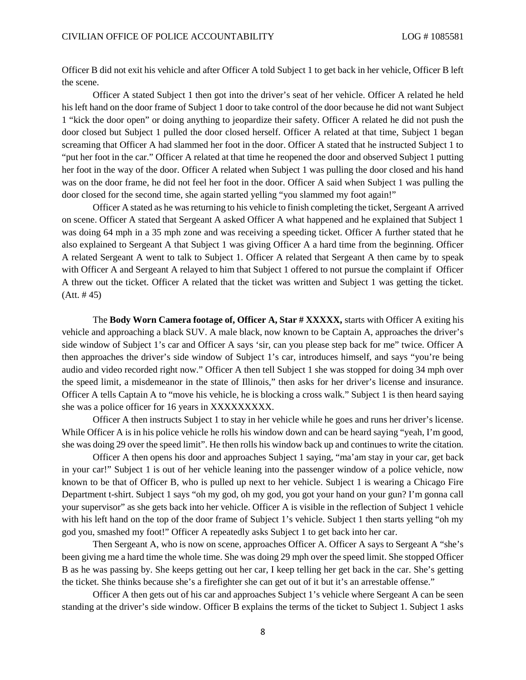Officer B did not exit his vehicle and after Officer A told Subject 1 to get back in her vehicle, Officer B left the scene.

Officer A stated Subject 1 then got into the driver's seat of her vehicle. Officer A related he held his left hand on the door frame of Subject 1 door to take control of the door because he did not want Subject 1 "kick the door open" or doing anything to jeopardize their safety. Officer A related he did not push the door closed but Subject 1 pulled the door closed herself. Officer A related at that time, Subject 1 began screaming that Officer A had slammed her foot in the door. Officer A stated that he instructed Subject 1 to "put her foot in the car." Officer A related at that time he reopened the door and observed Subject 1 putting her foot in the way of the door. Officer A related when Subject 1 was pulling the door closed and his hand was on the door frame, he did not feel her foot in the door. Officer A said when Subject 1 was pulling the door closed for the second time, she again started yelling "you slammed my foot again!"

Officer A stated as he was returning to his vehicle to finish completing the ticket, Sergeant A arrived on scene. Officer A stated that Sergeant A asked Officer A what happened and he explained that Subject 1 was doing 64 mph in a 35 mph zone and was receiving a speeding ticket. Officer A further stated that he also explained to Sergeant A that Subject 1 was giving Officer A a hard time from the beginning. Officer A related Sergeant A went to talk to Subject 1. Officer A related that Sergeant A then came by to speak with Officer A and Sergeant A relayed to him that Subject 1 offered to not pursue the complaint if Officer A threw out the ticket. Officer A related that the ticket was written and Subject 1 was getting the ticket.  $(Att. # 45)$ 

The **Body Worn Camera footage of, Officer A, Star # XXXXX,** starts with Officer A exiting his vehicle and approaching a black SUV. A male black, now known to be Captain A, approaches the driver's side window of Subject 1's car and Officer A says 'sir, can you please step back for me" twice. Officer A then approaches the driver's side window of Subject 1's car, introduces himself, and says "you're being audio and video recorded right now." Officer A then tell Subject 1 she was stopped for doing 34 mph over the speed limit, a misdemeanor in the state of Illinois," then asks for her driver's license and insurance. Officer A tells Captain A to "move his vehicle, he is blocking a cross walk." Subject 1 is then heard saying she was a police officer for 16 years in XXXXXXXXX.

Officer A then instructs Subject 1 to stay in her vehicle while he goes and runs her driver's license. While Officer A is in his police vehicle he rolls his window down and can be heard saying "yeah, I'm good, she was doing 29 over the speed limit". He then rolls his window back up and continues to write the citation.

Officer A then opens his door and approaches Subject 1 saying, "ma'am stay in your car, get back in your car!" Subject 1 is out of her vehicle leaning into the passenger window of a police vehicle, now known to be that of Officer B, who is pulled up next to her vehicle. Subject 1 is wearing a Chicago Fire Department t-shirt. Subject 1 says "oh my god, oh my god, you got your hand on your gun? I'm gonna call your supervisor" as she gets back into her vehicle. Officer A is visible in the reflection of Subject 1 vehicle with his left hand on the top of the door frame of Subject 1's vehicle. Subject 1 then starts yelling "oh my god you, smashed my foot!" Officer A repeatedly asks Subject 1 to get back into her car.

Then Sergeant A, who is now on scene, approaches Officer A. Officer A says to Sergeant A "she's been giving me a hard time the whole time. She was doing 29 mph over the speed limit. She stopped Officer B as he was passing by. She keeps getting out her car, I keep telling her get back in the car. She's getting the ticket. She thinks because she's a firefighter she can get out of it but it's an arrestable offense."

Officer A then gets out of his car and approaches Subject 1's vehicle where Sergeant A can be seen standing at the driver's side window. Officer B explains the terms of the ticket to Subject 1. Subject 1 asks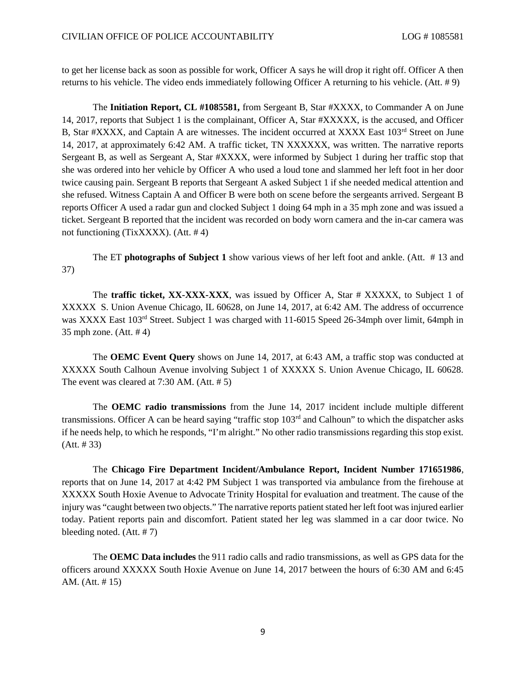to get her license back as soon as possible for work, Officer A says he will drop it right off. Officer A then returns to his vehicle. The video ends immediately following Officer A returning to his vehicle. (Att. # 9)

The **Initiation Report, CL #1085581,** from Sergeant B, Star #XXXX, to Commander A on June 14, 2017, reports that Subject 1 is the complainant, Officer A, Star #XXXXX, is the accused, and Officer B, Star #XXXX, and Captain A are witnesses. The incident occurred at XXXX East 103<sup>rd</sup> Street on June 14, 2017, at approximately 6:42 AM. A traffic ticket, TN XXXXXX, was written. The narrative reports Sergeant B, as well as Sergeant A, Star #XXXX, were informed by Subject 1 during her traffic stop that she was ordered into her vehicle by Officer A who used a loud tone and slammed her left foot in her door twice causing pain. Sergeant B reports that Sergeant A asked Subject 1 if she needed medical attention and she refused. Witness Captain A and Officer B were both on scene before the sergeants arrived. Sergeant B reports Officer A used a radar gun and clocked Subject 1 doing 64 mph in a 35 mph zone and was issued a ticket. Sergeant B reported that the incident was recorded on body worn camera and the in-car camera was not functioning (TixXXXX). (Att. # 4)

The ET **photographs of Subject 1** show various views of her left foot and ankle. (Att. # 13 and 37)

The **traffic ticket, XX-XXX-XXX**, was issued by Officer A, Star # XXXXX, to Subject 1 of XXXXX S. Union Avenue Chicago, IL 60628, on June 14, 2017, at 6:42 AM. The address of occurrence was XXXX East 103rd Street. Subject 1 was charged with 11-6015 Speed 26-34mph over limit, 64mph in 35 mph zone. (Att. # 4)

The **OEMC Event Query** shows on June 14, 2017, at 6:43 AM, a traffic stop was conducted at XXXXX South Calhoun Avenue involving Subject 1 of XXXXX S. Union Avenue Chicago, IL 60628. The event was cleared at 7:30 AM. (Att. # 5)

The **OEMC radio transmissions** from the June 14, 2017 incident include multiple different transmissions. Officer A can be heard saying "traffic stop 103rd and Calhoun" to which the dispatcher asks if he needs help, to which he responds, "I'm alright." No other radio transmissions regarding this stop exist. (Att. # 33)

The **Chicago Fire Department Incident/Ambulance Report, Incident Number 171651986**, reports that on June 14, 2017 at 4:42 PM Subject 1 was transported via ambulance from the firehouse at XXXXX South Hoxie Avenue to Advocate Trinity Hospital for evaluation and treatment. The cause of the injury was "caught between two objects." The narrative reports patient stated her left foot was injured earlier today. Patient reports pain and discomfort. Patient stated her leg was slammed in a car door twice. No bleeding noted. (Att. # 7)

The **OEMC Data includes** the 911 radio calls and radio transmissions, as well as GPS data for the officers around XXXXX South Hoxie Avenue on June 14, 2017 between the hours of 6:30 AM and 6:45 AM. (Att. # 15)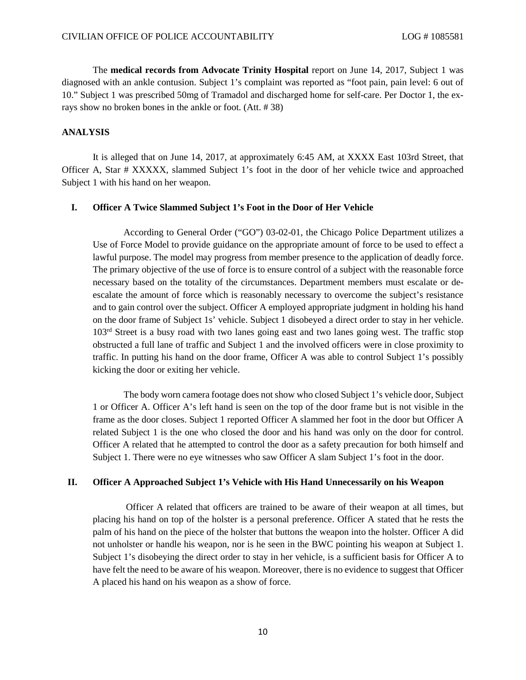The **medical records from Advocate Trinity Hospital** report on June 14, 2017, Subject 1 was diagnosed with an ankle contusion. Subject 1's complaint was reported as "foot pain, pain level: 6 out of 10." Subject 1 was prescribed 50mg of Tramadol and discharged home for self-care. Per Doctor 1, the exrays show no broken bones in the ankle or foot. (Att. # 38)

#### **ANALYSIS**

It is alleged that on June 14, 2017, at approximately 6:45 AM, at XXXX East 103rd Street, that Officer A, Star # XXXXX, slammed Subject 1's foot in the door of her vehicle twice and approached Subject 1 with his hand on her weapon.

### **I. Officer A Twice Slammed Subject 1's Foot in the Door of Her Vehicle**

According to General Order ("GO") 03-02-01, the Chicago Police Department utilizes a Use of Force Model to provide guidance on the appropriate amount of force to be used to effect a lawful purpose. The model may progress from member presence to the application of deadly force. The primary objective of the use of force is to ensure control of a subject with the reasonable force necessary based on the totality of the circumstances. Department members must escalate or deescalate the amount of force which is reasonably necessary to overcome the subject's resistance and to gain control over the subject. Officer A employed appropriate judgment in holding his hand on the door frame of Subject 1s' vehicle. Subject 1 disobeyed a direct order to stay in her vehicle. 103<sup>rd</sup> Street is a busy road with two lanes going east and two lanes going west. The traffic stop obstructed a full lane of traffic and Subject 1 and the involved officers were in close proximity to traffic. In putting his hand on the door frame, Officer A was able to control Subject 1's possibly kicking the door or exiting her vehicle.

The body worn camera footage does not show who closed Subject 1's vehicle door, Subject 1 or Officer A. Officer A's left hand is seen on the top of the door frame but is not visible in the frame as the door closes. Subject 1 reported Officer A slammed her foot in the door but Officer A related Subject 1 is the one who closed the door and his hand was only on the door for control. Officer A related that he attempted to control the door as a safety precaution for both himself and Subject 1. There were no eye witnesses who saw Officer A slam Subject 1's foot in the door.

# **II. Officer A Approached Subject 1's Vehicle with His Hand Unnecessarily on his Weapon**

Officer A related that officers are trained to be aware of their weapon at all times, but placing his hand on top of the holster is a personal preference. Officer A stated that he rests the palm of his hand on the piece of the holster that buttons the weapon into the holster. Officer A did not unholster or handle his weapon, nor is he seen in the BWC pointing his weapon at Subject 1. Subject 1's disobeying the direct order to stay in her vehicle, is a sufficient basis for Officer A to have felt the need to be aware of his weapon. Moreover, there is no evidence to suggest that Officer A placed his hand on his weapon as a show of force.